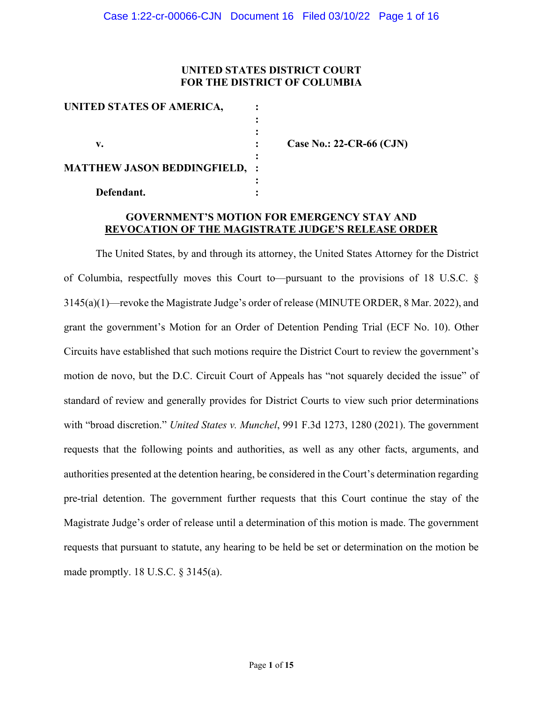## **UNITED STATES DISTRICT COURT FOR THE DISTRICT OF COLUMBIA**

| UNITED STATES OF AMERICA,          |  |
|------------------------------------|--|
|                                    |  |
|                                    |  |
| v.                                 |  |
| <b>MATTHEW JASON BEDDINGFIELD,</b> |  |
| Defendant.                         |  |

**v. : Case No.: 22-CR-66 (CJN)** 

### **GOVERNMENT'S MOTION FOR EMERGENCY STAY AND REVOCATION OF THE MAGISTRATE JUDGE'S RELEASE ORDER**

The United States, by and through its attorney, the United States Attorney for the District of Columbia, respectfully moves this Court to—pursuant to the provisions of 18 U.S.C. § 3145(a)(1)—revoke the Magistrate Judge's order of release (MINUTE ORDER, 8 Mar. 2022), and grant the government's Motion for an Order of Detention Pending Trial (ECF No. 10). Other Circuits have established that such motions require the District Court to review the government's motion de novo, but the D.C. Circuit Court of Appeals has "not squarely decided the issue" of standard of review and generally provides for District Courts to view such prior determinations with "broad discretion." *United States v. Munchel*, 991 F.3d 1273, 1280 (2021). The government requests that the following points and authorities, as well as any other facts, arguments, and authorities presented at the detention hearing, be considered in the Court's determination regarding pre-trial detention. The government further requests that this Court continue the stay of the Magistrate Judge's order of release until a determination of this motion is made. The government requests that pursuant to statute, any hearing to be held be set or determination on the motion be made promptly. 18 U.S.C. § 3145(a).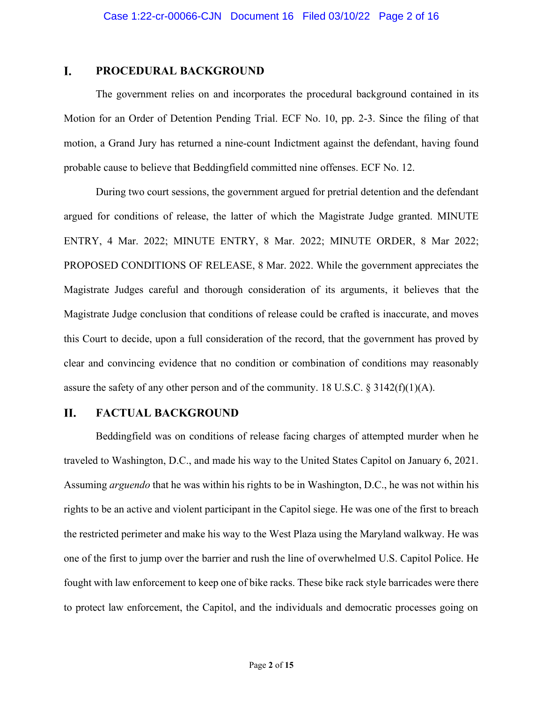#### L. **PROCEDURAL BACKGROUND**

The government relies on and incorporates the procedural background contained in its Motion for an Order of Detention Pending Trial. ECF No. 10, pp. 2-3. Since the filing of that motion, a Grand Jury has returned a nine-count Indictment against the defendant, having found probable cause to believe that Beddingfield committed nine offenses. ECF No. 12.

During two court sessions, the government argued for pretrial detention and the defendant argued for conditions of release, the latter of which the Magistrate Judge granted. MINUTE ENTRY, 4 Mar. 2022; MINUTE ENTRY, 8 Mar. 2022; MINUTE ORDER, 8 Mar 2022; PROPOSED CONDITIONS OF RELEASE, 8 Mar. 2022. While the government appreciates the Magistrate Judges careful and thorough consideration of its arguments, it believes that the Magistrate Judge conclusion that conditions of release could be crafted is inaccurate, and moves this Court to decide, upon a full consideration of the record, that the government has proved by clear and convincing evidence that no condition or combination of conditions may reasonably assure the safety of any other person and of the community. 18 U.S.C.  $\S 3142(f)(1)(A)$ .

#### II. **FACTUAL BACKGROUND**

Beddingfield was on conditions of release facing charges of attempted murder when he traveled to Washington, D.C., and made his way to the United States Capitol on January 6, 2021. Assuming *arguendo* that he was within his rights to be in Washington, D.C., he was not within his rights to be an active and violent participant in the Capitol siege. He was one of the first to breach the restricted perimeter and make his way to the West Plaza using the Maryland walkway. He was one of the first to jump over the barrier and rush the line of overwhelmed U.S. Capitol Police. He fought with law enforcement to keep one of bike racks. These bike rack style barricades were there to protect law enforcement, the Capitol, and the individuals and democratic processes going on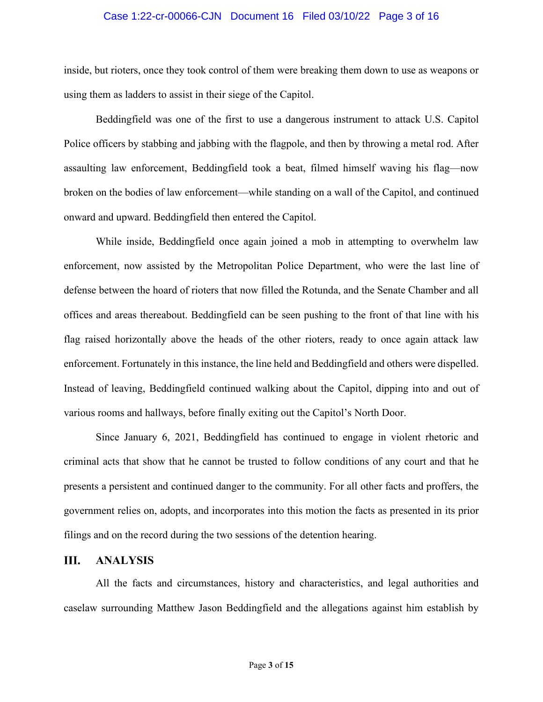### Case 1:22-cr-00066-CJN Document 16 Filed 03/10/22 Page 3 of 16

inside, but rioters, once they took control of them were breaking them down to use as weapons or using them as ladders to assist in their siege of the Capitol.

Beddingfield was one of the first to use a dangerous instrument to attack U.S. Capitol Police officers by stabbing and jabbing with the flagpole, and then by throwing a metal rod. After assaulting law enforcement, Beddingfield took a beat, filmed himself waving his flag—now broken on the bodies of law enforcement—while standing on a wall of the Capitol, and continued onward and upward. Beddingfield then entered the Capitol.

While inside, Beddingfield once again joined a mob in attempting to overwhelm law enforcement, now assisted by the Metropolitan Police Department, who were the last line of defense between the hoard of rioters that now filled the Rotunda, and the Senate Chamber and all offices and areas thereabout. Beddingfield can be seen pushing to the front of that line with his flag raised horizontally above the heads of the other rioters, ready to once again attack law enforcement. Fortunately in this instance, the line held and Beddingfield and others were dispelled. Instead of leaving, Beddingfield continued walking about the Capitol, dipping into and out of various rooms and hallways, before finally exiting out the Capitol's North Door.

Since January 6, 2021, Beddingfield has continued to engage in violent rhetoric and criminal acts that show that he cannot be trusted to follow conditions of any court and that he presents a persistent and continued danger to the community. For all other facts and proffers, the government relies on, adopts, and incorporates into this motion the facts as presented in its prior filings and on the record during the two sessions of the detention hearing.

#### III. **ANALYSIS**

All the facts and circumstances, history and characteristics, and legal authorities and caselaw surrounding Matthew Jason Beddingfield and the allegations against him establish by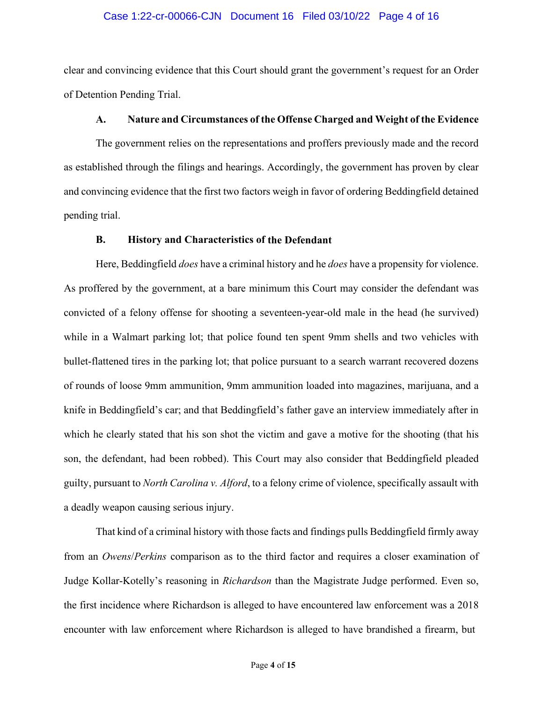### Case 1:22-cr-00066-CJN Document 16 Filed 03/10/22 Page 4 of 16

clear and convincing evidence that this Court should grant the government's request for an Order of Detention Pending Trial.

### **A. Nature and Circumstances of the Offense Charged and Weight of the Evidence**

The government relies on the representations and proffers previously made and the record as established through the filings and hearings. Accordingly, the government has proven by clear and convincing evidence that the first two factors weigh in favor of ordering Beddingfield detained pending trial.

### **B. History and Characteristics of the Defendant**

Here, Beddingfield *does* have a criminal history and he *does* have a propensity for violence. As proffered by the government, at a bare minimum this Court may consider the defendant was convicted of a felony offense for shooting a seventeen-year-old male in the head (he survived) while in a Walmart parking lot; that police found ten spent 9mm shells and two vehicles with bullet-flattened tires in the parking lot; that police pursuant to a search warrant recovered dozens of rounds of loose 9mm ammunition, 9mm ammunition loaded into magazines, marijuana, and a knife in Beddingfield's car; and that Beddingfield's father gave an interview immediately after in which he clearly stated that his son shot the victim and gave a motive for the shooting (that his son, the defendant, had been robbed). This Court may also consider that Beddingfield pleaded guilty, pursuant to *North Carolina v. Alford*, to a felony crime of violence, specifically assault with a deadly weapon causing serious injury.

That kind of a criminal history with those facts and findings pulls Beddingfield firmly away from an *Owens*/*Perkins* comparison as to the third factor and requires a closer examination of Judge Kollar-Kotelly's reasoning in *Richardson* than the Magistrate Judge performed. Even so, the first incidence where Richardson is alleged to have encountered law enforcement was a 2018 encounter with law enforcement where Richardson is alleged to have brandished a firearm, but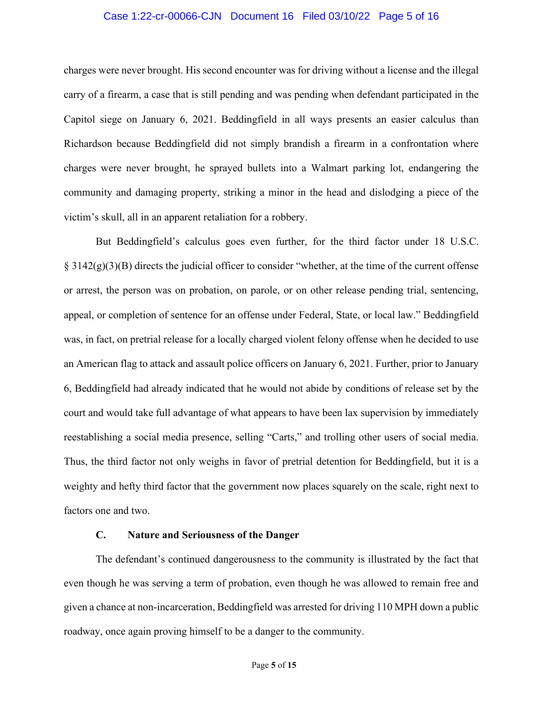### Case 1:22-cr-00066-CJN Document 16 Filed 03/10/22 Page 5 of 16

charges were never brought. His second encounter was for driving without a license and the illegal carry of a firearm, a case that is still pending and was pending when defendant participated in the Capitol siege on January 6, 2021. Beddingfield in all ways presents an easier calculus than Richardson because Beddingfield did not simply brandish a firearm in a confrontation where charges were never brought, he sprayed bullets into a Walmart parking lot, endangering the community and damaging property, striking a minor in the head and dislodging a piece of the victim's skull, all in an apparent retaliation for a robbery.

But Beddingfield's calculus goes even further, for the third factor under 18 U.S.C.  $\S 3142(g)(3)(B)$  directs the judicial officer to consider "whether, at the time of the current offense or arrest, the person was on probation, on parole, or on other release pending trial, sentencing, appeal, or completion of sentence for an offense under Federal, State, or local law." Beddingfield was, in fact, on pretrial release for a locally charged violent felony offense when he decided to use an American flag to attack and assault police officers on January 6, 2021. Further, prior to January 6, Beddingfield had already indicated that he would not abide by conditions of release set by the court and would take full advantage of what appears to have been lax supervision by immediately reestablishing a social media presence, selling "Carts," and trolling other users of social media. Thus, the third factor not only weighs in favor of pretrial detention for Beddingfield, but it is a weighty and hefty third factor that the government now places squarely on the scale, right next to factors one and two.

### **C. Nature and Seriousness of the Danger**

The defendant's continued dangerousness to the community is illustrated by the fact that even though he was serving a term of probation, even though he was allowed to remain free and given a chance at non-incarceration, Beddingfield was arrested for driving 110 MPH down a public roadway, once again proving himself to be a danger to the community.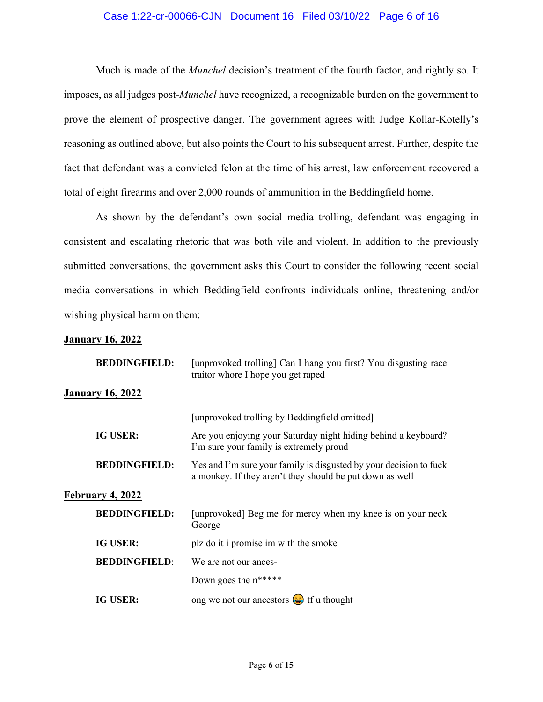### Case 1:22-cr-00066-CJN Document 16 Filed 03/10/22 Page 6 of 16

Much is made of the *Munchel* decision's treatment of the fourth factor, and rightly so. It imposes, as all judges post-*Munchel* have recognized, a recognizable burden on the government to prove the element of prospective danger. The government agrees with Judge Kollar-Kotelly's reasoning as outlined above, but also points the Court to his subsequent arrest. Further, despite the fact that defendant was a convicted felon at the time of his arrest, law enforcement recovered a total of eight firearms and over 2,000 rounds of ammunition in the Beddingfield home.

As shown by the defendant's own social media trolling, defendant was engaging in consistent and escalating rhetoric that was both vile and violent. In addition to the previously submitted conversations, the government asks this Court to consider the following recent social media conversations in which Beddingfield confronts individuals online, threatening and/or wishing physical harm on them:

### **January 16, 2022**

| <b>BEDDINGFIELD:</b>    | [unprovoked trolling] Can I hang you first? You disgusting race<br>traitor whore I hope you get raped                          |  |  |  |
|-------------------------|--------------------------------------------------------------------------------------------------------------------------------|--|--|--|
| <b>January 16, 2022</b> |                                                                                                                                |  |  |  |
|                         | [unprovoked trolling by Beddingfield omitted]                                                                                  |  |  |  |
| <b>IG USER:</b>         | Are you enjoying your Saturday night hiding behind a keyboard?<br>I'm sure your family is extremely proud                      |  |  |  |
| <b>BEDDINGFIELD:</b>    | Yes and I'm sure your family is disgusted by your decision to fuck<br>a monkey. If they aren't they should be put down as well |  |  |  |
| February 4, 2022        |                                                                                                                                |  |  |  |
| <b>BEDDINGFIELD:</b>    | [unprovoked] Beg me for mercy when my knee is on your neck<br>George                                                           |  |  |  |
| <b>IG USER:</b>         | plz do it i promise im with the smoke                                                                                          |  |  |  |
| <b>BEDDINGFIELD:</b>    | We are not our ances-                                                                                                          |  |  |  |
|                         | Down goes the $n*****$                                                                                                         |  |  |  |
| <b>IG USER:</b>         | ong we not our ancestors $\bigodot$ if u thought                                                                               |  |  |  |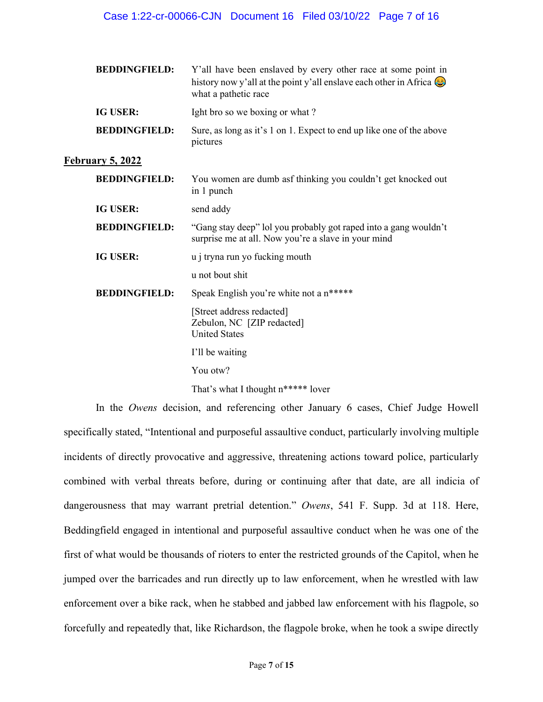### Case 1:22-cr-00066-CJN Document 16 Filed 03/10/22 Page 7 of 16

| <b>BEDDINGFIELD:</b>    | Y'all have been enslaved by every other race at some point in<br>history now y'all at the point y'all enslave each other in Africa $\bigcirc$<br>what a pathetic race |  |
|-------------------------|-----------------------------------------------------------------------------------------------------------------------------------------------------------------------|--|
| <b>IG USER:</b>         | Ight bro so we boxing or what?                                                                                                                                        |  |
| <b>BEDDINGFIELD:</b>    | Sure, as long as it's 1 on 1. Expect to end up like one of the above<br>pictures                                                                                      |  |
| <b>February 5, 2022</b> |                                                                                                                                                                       |  |
| <b>BEDDINGFIELD:</b>    | You women are dumb asf thinking you couldn't get knocked out<br>in 1 punch                                                                                            |  |
| <b>IG USER:</b>         | send addy                                                                                                                                                             |  |
| <b>BEDDINGFIELD:</b>    | "Gang stay deep" lol you probably got raped into a gang wouldn't<br>surprise me at all. Now you're a slave in your mind                                               |  |
| <b>IG USER:</b>         | u j tryna run yo fucking mouth                                                                                                                                        |  |
|                         | u not bout shit                                                                                                                                                       |  |
| <b>BEDDINGFIELD:</b>    | Speak English you're white not a n*****                                                                                                                               |  |
|                         | [Street address redacted]<br>Zebulon, NC [ZIP redacted]<br><b>United States</b>                                                                                       |  |
|                         | I'll be waiting                                                                                                                                                       |  |
|                         | You otw?                                                                                                                                                              |  |
|                         | That's what I thought n***** lover                                                                                                                                    |  |

In the *Owens* decision, and referencing other January 6 cases, Chief Judge Howell specifically stated, "Intentional and purposeful assaultive conduct, particularly involving multiple incidents of directly provocative and aggressive, threatening actions toward police, particularly combined with verbal threats before, during or continuing after that date, are all indicia of dangerousness that may warrant pretrial detention." *Owens*, 541 F. Supp. 3d at 118. Here, Beddingfield engaged in intentional and purposeful assaultive conduct when he was one of the first of what would be thousands of rioters to enter the restricted grounds of the Capitol, when he jumped over the barricades and run directly up to law enforcement, when he wrestled with law enforcement over a bike rack, when he stabbed and jabbed law enforcement with his flagpole, so forcefully and repeatedly that, like Richardson, the flagpole broke, when he took a swipe directly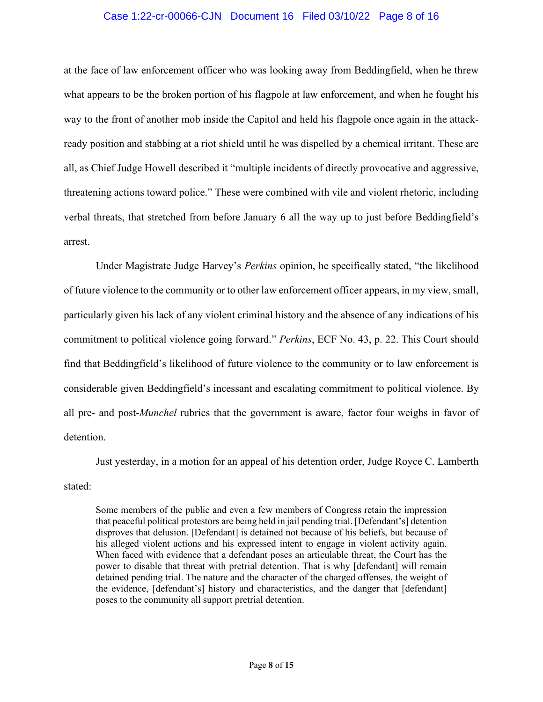### Case 1:22-cr-00066-CJN Document 16 Filed 03/10/22 Page 8 of 16

at the face of law enforcement officer who was looking away from Beddingfield, when he threw what appears to be the broken portion of his flagpole at law enforcement, and when he fought his way to the front of another mob inside the Capitol and held his flagpole once again in the attackready position and stabbing at a riot shield until he was dispelled by a chemical irritant. These are all, as Chief Judge Howell described it "multiple incidents of directly provocative and aggressive, threatening actions toward police." These were combined with vile and violent rhetoric, including verbal threats, that stretched from before January 6 all the way up to just before Beddingfield's arrest.

Under Magistrate Judge Harvey's *Perkins* opinion, he specifically stated, "the likelihood of future violence to the community or to other law enforcement officer appears, in my view, small, particularly given his lack of any violent criminal history and the absence of any indications of his commitment to political violence going forward." *Perkins*, ECF No. 43, p. 22. This Court should find that Beddingfield's likelihood of future violence to the community or to law enforcement is considerable given Beddingfield's incessant and escalating commitment to political violence. By all pre- and post-*Munchel* rubrics that the government is aware, factor four weighs in favor of detention.

Just yesterday, in a motion for an appeal of his detention order, Judge Royce C. Lamberth stated:

Some members of the public and even a few members of Congress retain the impression that peaceful political protestors are being held in jail pending trial. [Defendant's] detention disproves that delusion. [Defendant] is detained not because of his beliefs, but because of his alleged violent actions and his expressed intent to engage in violent activity again. When faced with evidence that a defendant poses an articulable threat, the Court has the power to disable that threat with pretrial detention. That is why [defendant] will remain detained pending trial. The nature and the character of the charged offenses, the weight of the evidence, [defendant's] history and characteristics, and the danger that [defendant] poses to the community all support pretrial detention.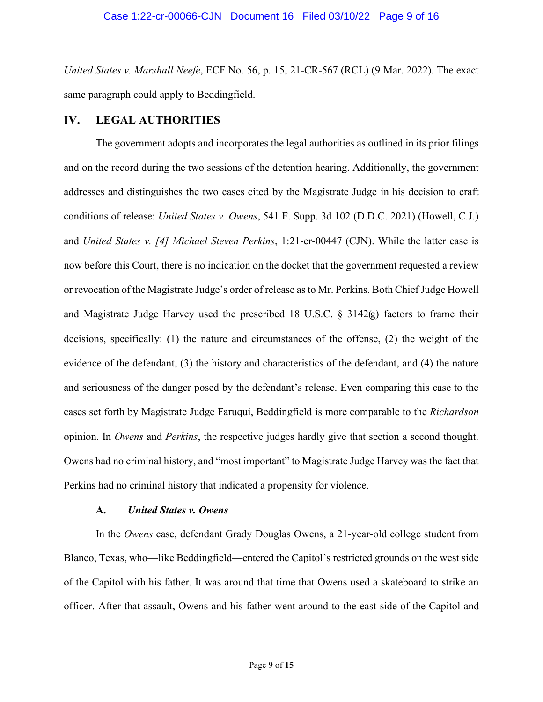*United States v. Marshall Neefe*, ECF No. 56, p. 15, 21-CR-567 (RCL) (9 Mar. 2022). The exact same paragraph could apply to Beddingfield.

#### **LEGAL AUTHORITIES** IV.

The government adopts and incorporates the legal authorities as outlined in its prior filings and on the record during the two sessions of the detention hearing. Additionally, the government addresses and distinguishes the two cases cited by the Magistrate Judge in his decision to craft conditions of release: *United States v. Owens*, 541 F. Supp. 3d 102 (D.D.C. 2021) (Howell, C.J.) and *United States v. [4] Michael Steven Perkins*, 1:21-cr-00447 (CJN). While the latter case is now before this Court, there is no indication on the docket that the government requested a review or revocation of the Magistrate Judge's order of release as to Mr. Perkins. Both Chief Judge Howell and Magistrate Judge Harvey used the prescribed 18 U.S.C. § 3142(g) factors to frame their decisions, specifically: (1) the nature and circumstances of the offense, (2) the weight of the evidence of the defendant, (3) the history and characteristics of the defendant, and (4) the nature and seriousness of the danger posed by the defendant's release. Even comparing this case to the cases set forth by Magistrate Judge Faruqui, Beddingfield is more comparable to the *Richardson* opinion. In *Owens* and *Perkins*, the respective judges hardly give that section a second thought. Owens had no criminal history, and "most important" to Magistrate Judge Harvey was the fact that Perkins had no criminal history that indicated a propensity for violence.

### **A.** *United States v. Owens*

In the *Owens* case, defendant Grady Douglas Owens, a 21-year-old college student from Blanco, Texas, who—like Beddingfield—entered the Capitol's restricted grounds on the west side of the Capitol with his father. It was around that time that Owens used a skateboard to strike an officer. After that assault, Owens and his father went around to the east side of the Capitol and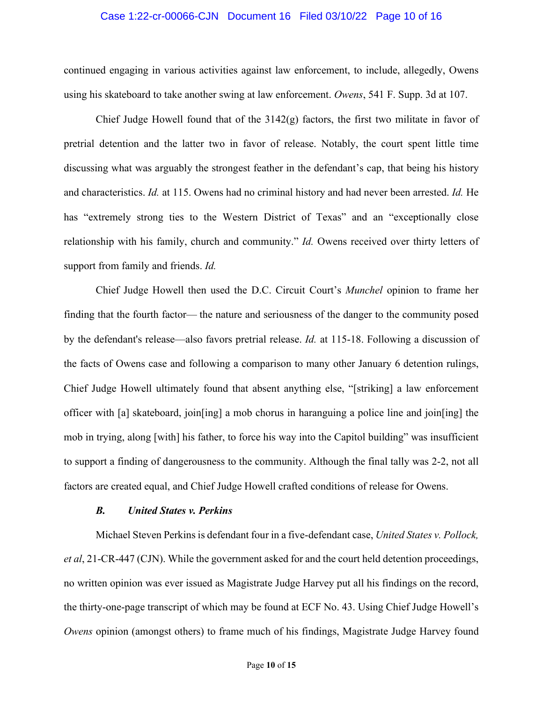### Case 1:22-cr-00066-CJN Document 16 Filed 03/10/22 Page 10 of 16

continued engaging in various activities against law enforcement, to include, allegedly, Owens using his skateboard to take another swing at law enforcement. *Owens*, 541 F. Supp. 3d at 107.

Chief Judge Howell found that of the  $3142(g)$  factors, the first two militate in favor of pretrial detention and the latter two in favor of release. Notably, the court spent little time discussing what was arguably the strongest feather in the defendant's cap, that being his history and characteristics. *Id.* at 115. Owens had no criminal history and had never been arrested. *Id.* He has "extremely strong ties to the Western District of Texas" and an "exceptionally close relationship with his family, church and community." *Id.* Owens received over thirty letters of support from family and friends. *Id.*

Chief Judge Howell then used the D.C. Circuit Court's *Munchel* opinion to frame her finding that the fourth factor— the nature and seriousness of the danger to the community posed by the defendant's release—also favors pretrial release. *Id.* at 115-18. Following a discussion of the facts of Owens case and following a comparison to many other January 6 detention rulings, Chief Judge Howell ultimately found that absent anything else, "[striking] a law enforcement officer with [a] skateboard, join[ing] a mob chorus in haranguing a police line and join[ing] the mob in trying, along [with] his father, to force his way into the Capitol building" was insufficient to support a finding of dangerousness to the community. Although the final tally was 2-2, not all factors are created equal, and Chief Judge Howell crafted conditions of release for Owens.

### *B. United States v. Perkins*

Michael Steven Perkins is defendant four in a five-defendant case, *United States v. Pollock, et al*, 21-CR-447 (CJN). While the government asked for and the court held detention proceedings, no written opinion was ever issued as Magistrate Judge Harvey put all his findings on the record, the thirty-one-page transcript of which may be found at ECF No. 43. Using Chief Judge Howell's *Owens* opinion (amongst others) to frame much of his findings, Magistrate Judge Harvey found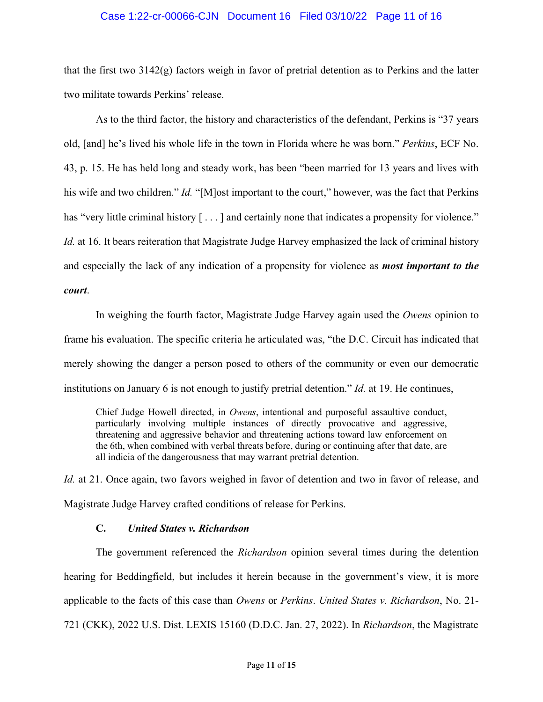### Case 1:22-cr-00066-CJN Document 16 Filed 03/10/22 Page 11 of 16

that the first two 3142(g) factors weigh in favor of pretrial detention as to Perkins and the latter two militate towards Perkins' release.

As to the third factor, the history and characteristics of the defendant, Perkins is "37 years old, [and] he's lived his whole life in the town in Florida where he was born." *Perkins*, ECF No. 43, p. 15. He has held long and steady work, has been "been married for 13 years and lives with his wife and two children." *Id.* "[M]ost important to the court," however, was the fact that Perkins has "very little criminal history  $[\dots]$  and certainly none that indicates a propensity for violence." *Id.* at 16. It bears reiteration that Magistrate Judge Harvey emphasized the lack of criminal history and especially the lack of any indication of a propensity for violence as *most important to the court*.

In weighing the fourth factor, Magistrate Judge Harvey again used the *Owens* opinion to frame his evaluation. The specific criteria he articulated was, "the D.C. Circuit has indicated that merely showing the danger a person posed to others of the community or even our democratic institutions on January 6 is not enough to justify pretrial detention." *Id.* at 19. He continues,

Chief Judge Howell directed, in *Owens*, intentional and purposeful assaultive conduct, particularly involving multiple instances of directly provocative and aggressive, threatening and aggressive behavior and threatening actions toward law enforcement on the 6th, when combined with verbal threats before, during or continuing after that date, are all indicia of the dangerousness that may warrant pretrial detention.

*Id.* at 21. Once again, two favors weighed in favor of detention and two in favor of release, and Magistrate Judge Harvey crafted conditions of release for Perkins.

### **C.** *United States v. Richardson*

The government referenced the *Richardson* opinion several times during the detention hearing for Beddingfield, but includes it herein because in the government's view, it is more applicable to the facts of this case than *Owens* or *Perkins*. *United States v. Richardson*, No. 21- 721 (CKK), 2022 U.S. Dist. LEXIS 15160 (D.D.C. Jan. 27, 2022). In *Richardson*, the Magistrate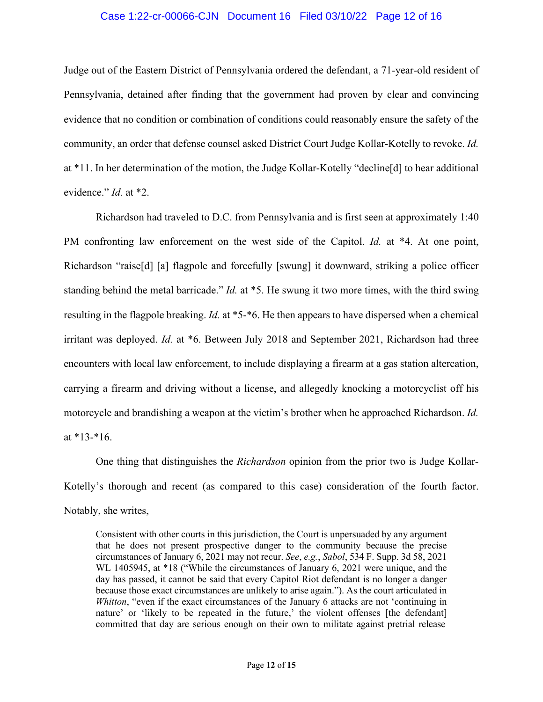### Case 1:22-cr-00066-CJN Document 16 Filed 03/10/22 Page 12 of 16

Judge out of the Eastern District of Pennsylvania ordered the defendant, a 71-year-old resident of Pennsylvania, detained after finding that the government had proven by clear and convincing evidence that no condition or combination of conditions could reasonably ensure the safety of the community, an order that defense counsel asked District Court Judge Kollar-Kotelly to revoke. *Id.* at \*11. In her determination of the motion, the Judge Kollar-Kotelly "decline[d] to hear additional evidence." *Id.* at \*2.

Richardson had traveled to D.C. from Pennsylvania and is first seen at approximately 1:40 PM confronting law enforcement on the west side of the Capitol. *Id.* at \*4. At one point, Richardson "raise[d] [a] flagpole and forcefully [swung] it downward, striking a police officer standing behind the metal barricade." *Id.* at \*5. He swung it two more times, with the third swing resulting in the flagpole breaking. *Id.* at \*5-\*6. He then appears to have dispersed when a chemical irritant was deployed. *Id.* at \*6. Between July 2018 and September 2021, Richardson had three encounters with local law enforcement, to include displaying a firearm at a gas station altercation, carrying a firearm and driving without a license, and allegedly knocking a motorcyclist off his motorcycle and brandishing a weapon at the victim's brother when he approached Richardson. *Id.* at  $*13-*16$ .

One thing that distinguishes the *Richardson* opinion from the prior two is Judge Kollar-Kotelly's thorough and recent (as compared to this case) consideration of the fourth factor. Notably, she writes,

Consistent with other courts in this jurisdiction, the Court is unpersuaded by any argument that he does not present prospective danger to the community because the precise circumstances of January 6, 2021 may not recur. *See*, *e.g.*, *Sabol*, 534 F. Supp. 3d 58, 2021 WL 1405945, at \*18 ("While the circumstances of January 6, 2021 were unique, and the day has passed, it cannot be said that every Capitol Riot defendant is no longer a danger because those exact circumstances are unlikely to arise again."). As the court articulated in *Whitton*, "even if the exact circumstances of the January 6 attacks are not 'continuing in nature' or 'likely to be repeated in the future,' the violent offenses [the defendant] committed that day are serious enough on their own to militate against pretrial release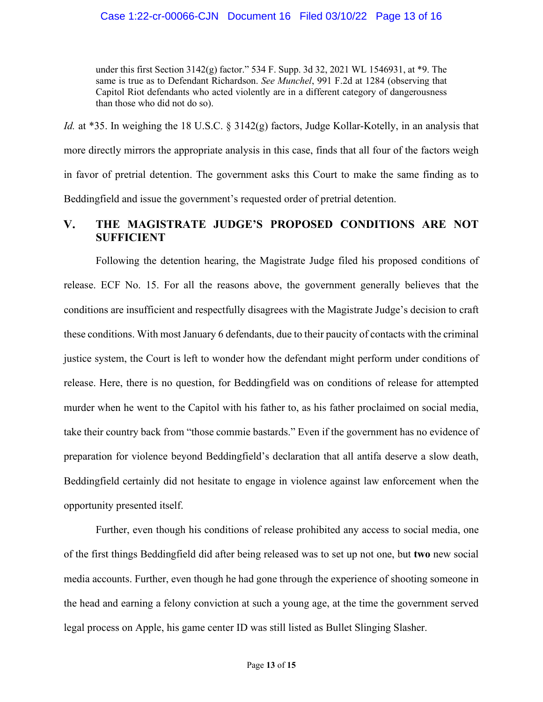under this first Section 3142(g) factor." 534 F. Supp. 3d 32, 2021 WL 1546931, at \*9. The same is true as to Defendant Richardson. *See Munchel*, 991 F.2d at 1284 (observing that Capitol Riot defendants who acted violently are in a different category of dangerousness than those who did not do so).

*Id.* at \*35. In weighing the 18 U.S.C. § 3142(g) factors, Judge Kollar-Kotelly, in an analysis that more directly mirrors the appropriate analysis in this case, finds that all four of the factors weigh in favor of pretrial detention. The government asks this Court to make the same finding as to Beddingfield and issue the government's requested order of pretrial detention.

### $V_{\bullet}$ **THE MAGISTRATE JUDGE'S PROPOSED CONDITIONS ARE NOT SUFFICIENT**

Following the detention hearing, the Magistrate Judge filed his proposed conditions of release. ECF No. 15. For all the reasons above, the government generally believes that the conditions are insufficient and respectfully disagrees with the Magistrate Judge's decision to craft these conditions. With most January 6 defendants, due to their paucity of contacts with the criminal justice system, the Court is left to wonder how the defendant might perform under conditions of release. Here, there is no question, for Beddingfield was on conditions of release for attempted murder when he went to the Capitol with his father to, as his father proclaimed on social media, take their country back from "those commie bastards." Even if the government has no evidence of preparation for violence beyond Beddingfield's declaration that all antifa deserve a slow death, Beddingfield certainly did not hesitate to engage in violence against law enforcement when the opportunity presented itself.

Further, even though his conditions of release prohibited any access to social media, one of the first things Beddingfield did after being released was to set up not one, but **two** new social media accounts. Further, even though he had gone through the experience of shooting someone in the head and earning a felony conviction at such a young age, at the time the government served legal process on Apple, his game center ID was still listed as Bullet Slinging Slasher.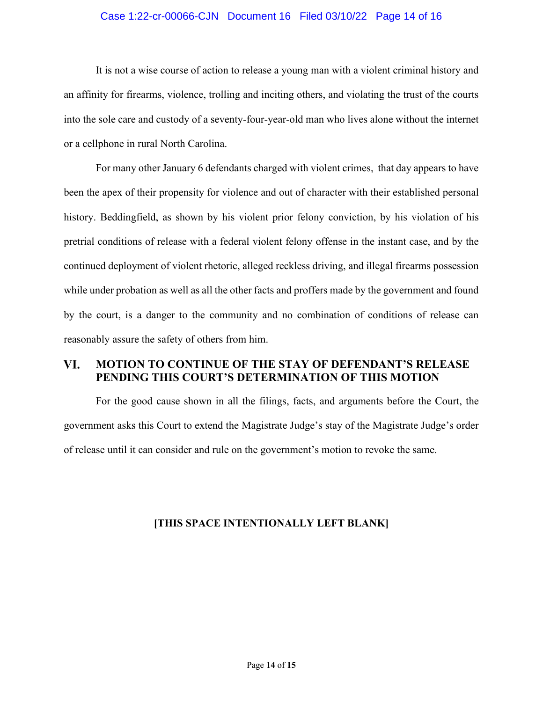### Case 1:22-cr-00066-CJN Document 16 Filed 03/10/22 Page 14 of 16

It is not a wise course of action to release a young man with a violent criminal history and an affinity for firearms, violence, trolling and inciting others, and violating the trust of the courts into the sole care and custody of a seventy-four-year-old man who lives alone without the internet or a cellphone in rural North Carolina.

For many other January 6 defendants charged with violent crimes, that day appears to have been the apex of their propensity for violence and out of character with their established personal history. Beddingfield, as shown by his violent prior felony conviction, by his violation of his pretrial conditions of release with a federal violent felony offense in the instant case, and by the continued deployment of violent rhetoric, alleged reckless driving, and illegal firearms possession while under probation as well as all the other facts and proffers made by the government and found by the court, is a danger to the community and no combination of conditions of release can reasonably assure the safety of others from him.

### VI. **MOTION TO CONTINUE OF THE STAY OF DEFENDANT'S RELEASE PENDING THIS COURT'S DETERMINATION OF THIS MOTION**

For the good cause shown in all the filings, facts, and arguments before the Court, the government asks this Court to extend the Magistrate Judge's stay of the Magistrate Judge's order of release until it can consider and rule on the government's motion to revoke the same.

## **[THIS SPACE INTENTIONALLY LEFT BLANK]**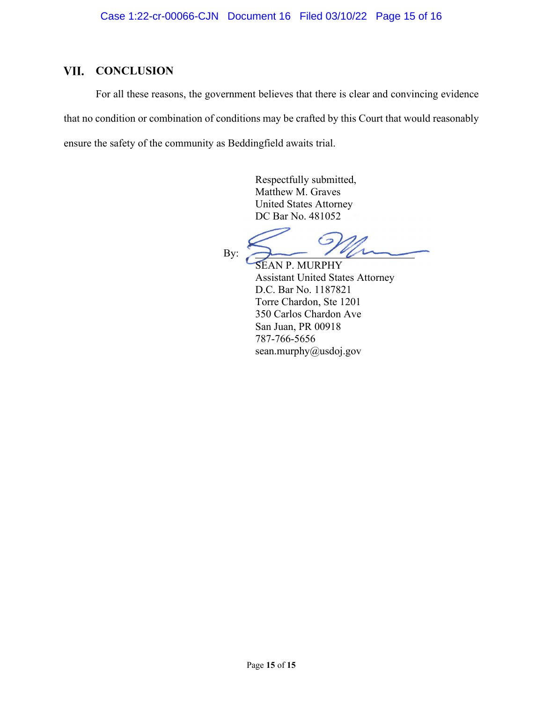# **VII. CONCLUSION**

For all these reasons, the government believes that there is clear and convincing evidence that no condition or combination of conditions may be crafted by this Court that would reasonably ensure the safety of the community as Beddingfield awaits trial.

> Respectfully submitted, Matthew M. Graves United States Attorney DC Bar No. 481052

A

By:

SEAN P. MURPHY Assistant United States Attorney D.C. Bar No. 1187821 Torre Chardon, Ste 1201 350 Carlos Chardon Ave San Juan, PR 00918 787-766-5656 sean.murphy@usdoj.gov